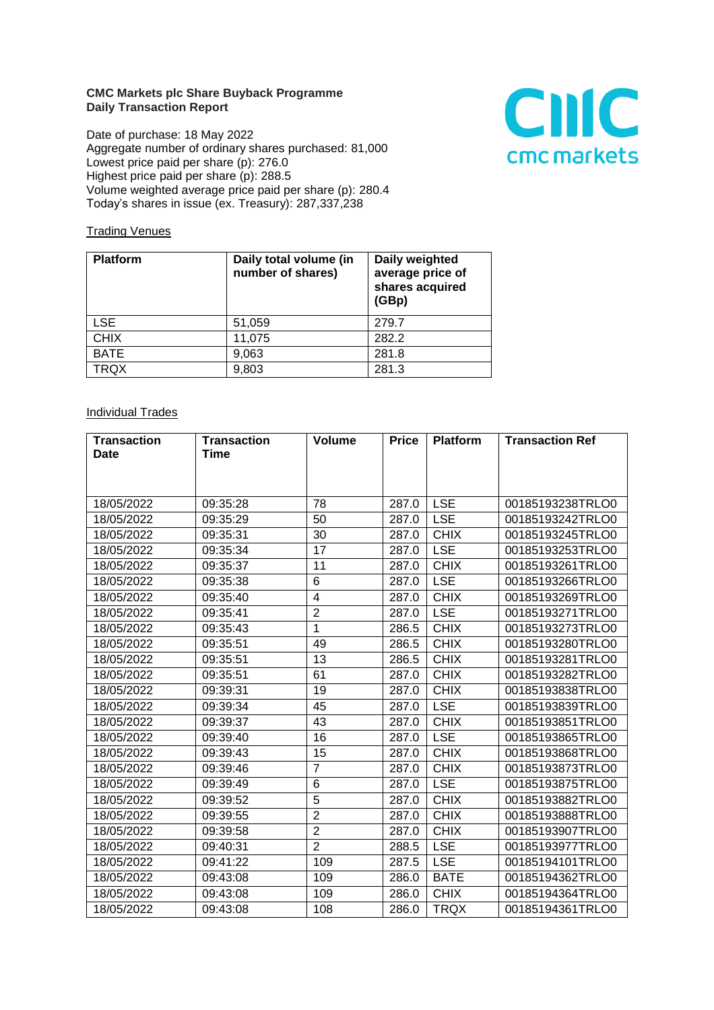## **CMC Markets plc Share Buyback Programme Daily Transaction Report**

Date of purchase: 18 May 2022 Aggregate number of ordinary shares purchased: 81,000 Lowest price paid per share (p): 276.0 Highest price paid per share (p): 288.5 Volume weighted average price paid per share (p): 280.4 Today's shares in issue (ex. Treasury): 287,337,238



## **Trading Venues**

| <b>Platform</b> | Daily total volume (in<br>number of shares) | Daily weighted<br>average price of<br>shares acquired<br>(GBp) |
|-----------------|---------------------------------------------|----------------------------------------------------------------|
| <b>LSE</b>      | 51,059                                      | 279.7                                                          |
| <b>CHIX</b>     | 11,075                                      | 282.2                                                          |
| <b>BATE</b>     | 9,063                                       | 281.8                                                          |
| <b>TRQX</b>     | 9,803                                       | 281.3                                                          |

## **Individual Trades**

| <b>Transaction</b> | <b>Transaction</b> | <b>Volume</b>  | <b>Price</b> | <b>Platform</b> | <b>Transaction Ref</b> |
|--------------------|--------------------|----------------|--------------|-----------------|------------------------|
| <b>Date</b>        | Time               |                |              |                 |                        |
|                    |                    |                |              |                 |                        |
|                    |                    |                |              |                 |                        |
| 18/05/2022         | 09:35:28           | 78             | 287.0        | <b>LSE</b>      | 00185193238TRLO0       |
| 18/05/2022         | 09:35:29           | 50             | 287.0        | <b>LSE</b>      | 00185193242TRLO0       |
| 18/05/2022         | 09:35:31           | 30             | 287.0        | <b>CHIX</b>     | 00185193245TRLO0       |
| 18/05/2022         | 09:35:34           | 17             | 287.0        | <b>LSE</b>      | 00185193253TRLO0       |
| 18/05/2022         | 09:35:37           | 11             | 287.0        | <b>CHIX</b>     | 00185193261TRLO0       |
| 18/05/2022         | 09:35:38           | 6              | 287.0        | <b>LSE</b>      | 00185193266TRLO0       |
| 18/05/2022         | 09:35:40           | 4              | 287.0        | <b>CHIX</b>     | 00185193269TRLO0       |
| 18/05/2022         | 09:35:41           | $\overline{2}$ | 287.0        | <b>LSE</b>      | 00185193271TRLO0       |
| 18/05/2022         | 09:35:43           | $\mathbf{1}$   | 286.5        | <b>CHIX</b>     | 00185193273TRLO0       |
| 18/05/2022         | 09:35:51           | 49             | 286.5        | <b>CHIX</b>     | 00185193280TRLO0       |
| 18/05/2022         | 09:35:51           | 13             | 286.5        | <b>CHIX</b>     | 00185193281TRLO0       |
| 18/05/2022         | 09:35:51           | 61             | 287.0        | <b>CHIX</b>     | 00185193282TRLO0       |
| 18/05/2022         | 09:39:31           | 19             | 287.0        | <b>CHIX</b>     | 00185193838TRLO0       |
| 18/05/2022         | 09:39:34           | 45             | 287.0        | <b>LSE</b>      | 00185193839TRLO0       |
| 18/05/2022         | 09:39:37           | 43             | 287.0        | <b>CHIX</b>     | 00185193851TRLO0       |
| 18/05/2022         | 09:39:40           | 16             | 287.0        | <b>LSE</b>      | 00185193865TRLO0       |
| 18/05/2022         | 09:39:43           | 15             | 287.0        | <b>CHIX</b>     | 00185193868TRLO0       |
| 18/05/2022         | 09:39:46           | $\overline{7}$ | 287.0        | <b>CHIX</b>     | 00185193873TRLO0       |
| 18/05/2022         | 09:39:49           | 6              | 287.0        | <b>LSE</b>      | 00185193875TRLO0       |
| 18/05/2022         | 09:39:52           | 5              | 287.0        | <b>CHIX</b>     | 00185193882TRLO0       |
| 18/05/2022         | 09:39:55           | $\overline{2}$ | 287.0        | <b>CHIX</b>     | 00185193888TRLO0       |
| 18/05/2022         | 09:39:58           | $\overline{2}$ | 287.0        | <b>CHIX</b>     | 00185193907TRLO0       |
| 18/05/2022         | 09:40:31           | $\overline{2}$ | 288.5        | <b>LSE</b>      | 00185193977TRLO0       |
| 18/05/2022         | 09:41:22           | 109            | 287.5        | <b>LSE</b>      | 00185194101TRLO0       |
| 18/05/2022         | 09:43:08           | 109            | 286.0        | <b>BATE</b>     | 00185194362TRLO0       |
| 18/05/2022         | 09:43:08           | 109            | 286.0        | <b>CHIX</b>     | 00185194364TRLO0       |
| 18/05/2022         | 09:43:08           | 108            | 286.0        | <b>TRQX</b>     | 00185194361TRLO0       |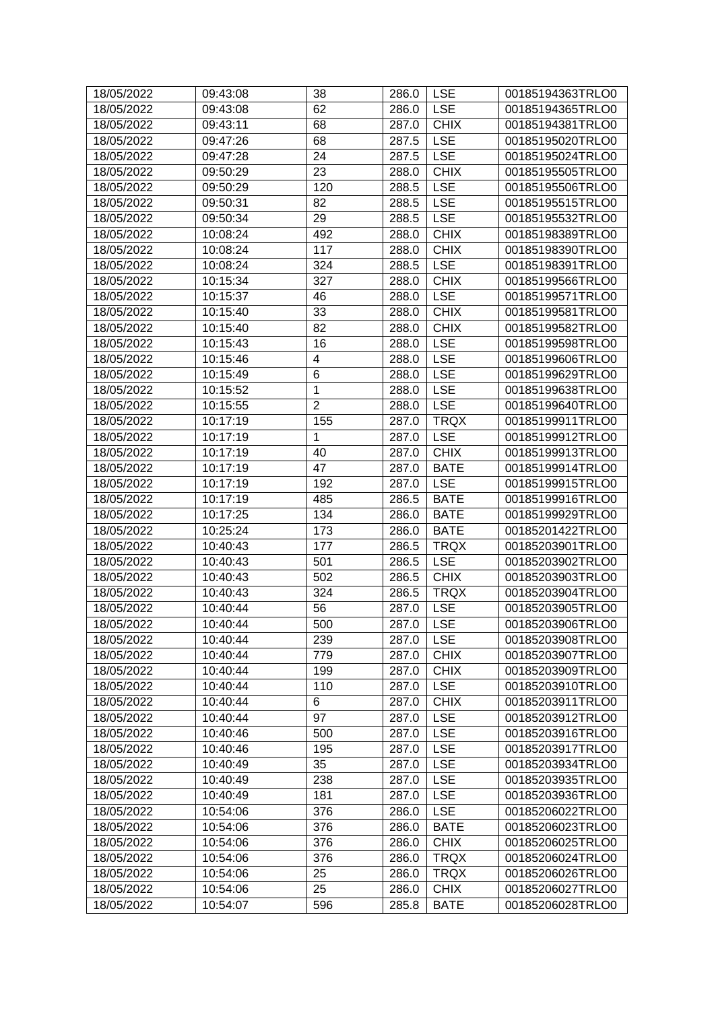| 18/05/2022 | 09:43:08 | 38             | 286.0 | <b>LSE</b>  | 00185194363TRLO0 |
|------------|----------|----------------|-------|-------------|------------------|
| 18/05/2022 | 09:43:08 | 62             | 286.0 | <b>LSE</b>  | 00185194365TRLO0 |
| 18/05/2022 | 09:43:11 | 68             | 287.0 | <b>CHIX</b> | 00185194381TRLO0 |
| 18/05/2022 | 09:47:26 | 68             | 287.5 | <b>LSE</b>  | 00185195020TRLO0 |
| 18/05/2022 | 09:47:28 | 24             | 287.5 | <b>LSE</b>  | 00185195024TRLO0 |
| 18/05/2022 | 09:50:29 | 23             | 288.0 | <b>CHIX</b> | 00185195505TRLO0 |
| 18/05/2022 | 09:50:29 | 120            | 288.5 | <b>LSE</b>  | 00185195506TRLO0 |
| 18/05/2022 | 09:50:31 | 82             | 288.5 | <b>LSE</b>  | 00185195515TRLO0 |
| 18/05/2022 | 09:50:34 | 29             | 288.5 | <b>LSE</b>  | 00185195532TRLO0 |
| 18/05/2022 | 10:08:24 | 492            | 288.0 | <b>CHIX</b> | 00185198389TRLO0 |
| 18/05/2022 | 10:08:24 | 117            | 288.0 | <b>CHIX</b> | 00185198390TRLO0 |
| 18/05/2022 | 10:08:24 | 324            | 288.5 | <b>LSE</b>  | 00185198391TRLO0 |
| 18/05/2022 | 10:15:34 | 327            | 288.0 | <b>CHIX</b> | 00185199566TRLO0 |
| 18/05/2022 | 10:15:37 | 46             | 288.0 | <b>LSE</b>  | 00185199571TRLO0 |
| 18/05/2022 | 10:15:40 | 33             | 288.0 | <b>CHIX</b> | 00185199581TRLO0 |
| 18/05/2022 | 10:15:40 | 82             | 288.0 | <b>CHIX</b> | 00185199582TRLO0 |
| 18/05/2022 | 10:15:43 | 16             | 288.0 | <b>LSE</b>  | 00185199598TRLO0 |
| 18/05/2022 | 10:15:46 | 4              | 288.0 | <b>LSE</b>  | 00185199606TRLO0 |
| 18/05/2022 | 10:15:49 | 6              | 288.0 | <b>LSE</b>  | 00185199629TRLO0 |
| 18/05/2022 | 10:15:52 | 1              | 288.0 | <b>LSE</b>  | 00185199638TRLO0 |
| 18/05/2022 | 10:15:55 | $\overline{2}$ | 288.0 | <b>LSE</b>  | 00185199640TRLO0 |
| 18/05/2022 | 10:17:19 | 155            | 287.0 | <b>TRQX</b> | 00185199911TRLO0 |
| 18/05/2022 | 10:17:19 | 1              | 287.0 | <b>LSE</b>  | 00185199912TRLO0 |
| 18/05/2022 | 10:17:19 | 40             | 287.0 | <b>CHIX</b> | 00185199913TRLO0 |
| 18/05/2022 | 10:17:19 | 47             | 287.0 | <b>BATE</b> | 00185199914TRLO0 |
| 18/05/2022 | 10:17:19 | 192            | 287.0 | <b>LSE</b>  | 00185199915TRLO0 |
| 18/05/2022 | 10:17:19 | 485            | 286.5 | <b>BATE</b> | 00185199916TRLO0 |
| 18/05/2022 | 10:17:25 | 134            | 286.0 | <b>BATE</b> | 00185199929TRLO0 |
| 18/05/2022 | 10:25:24 | 173            | 286.0 | <b>BATE</b> | 00185201422TRLO0 |
| 18/05/2022 | 10:40:43 | 177            | 286.5 | <b>TRQX</b> | 00185203901TRLO0 |
| 18/05/2022 | 10:40:43 | 501            | 286.5 | <b>LSE</b>  | 00185203902TRLO0 |
| 18/05/2022 | 10:40:43 | 502            | 286.5 | <b>CHIX</b> | 00185203903TRLO0 |
| 18/05/2022 | 10:40:43 | 324            | 286.5 | <b>TRQX</b> | 00185203904TRLO0 |
| 18/05/2022 | 10:40:44 | 56             | 287.0 | <b>LSE</b>  | 00185203905TRLO0 |
| 18/05/2022 | 10:40:44 | 500            | 287.0 | LSE         | 00185203906TRLO0 |
| 18/05/2022 | 10:40:44 | 239            | 287.0 | <b>LSE</b>  | 00185203908TRLO0 |
| 18/05/2022 | 10:40:44 | 779            | 287.0 | <b>CHIX</b> | 00185203907TRLO0 |
| 18/05/2022 | 10:40:44 | 199            | 287.0 | <b>CHIX</b> | 00185203909TRLO0 |
| 18/05/2022 | 10:40:44 | 110            | 287.0 | <b>LSE</b>  | 00185203910TRLO0 |
| 18/05/2022 | 10:40:44 | 6              | 287.0 | <b>CHIX</b> | 00185203911TRLO0 |
| 18/05/2022 | 10:40:44 | 97             | 287.0 | <b>LSE</b>  | 00185203912TRLO0 |
| 18/05/2022 | 10:40:46 | 500            | 287.0 | <b>LSE</b>  | 00185203916TRLO0 |
| 18/05/2022 | 10:40:46 | 195            | 287.0 | <b>LSE</b>  | 00185203917TRLO0 |
| 18/05/2022 | 10:40:49 | 35             | 287.0 | <b>LSE</b>  | 00185203934TRLO0 |
| 18/05/2022 | 10:40:49 | 238            | 287.0 | <b>LSE</b>  | 00185203935TRLO0 |
| 18/05/2022 | 10:40:49 | 181            | 287.0 | <b>LSE</b>  | 00185203936TRLO0 |
| 18/05/2022 | 10:54:06 | 376            | 286.0 | <b>LSE</b>  | 00185206022TRLO0 |
| 18/05/2022 | 10:54:06 | 376            | 286.0 | <b>BATE</b> | 00185206023TRLO0 |
| 18/05/2022 | 10:54:06 | 376            | 286.0 | <b>CHIX</b> | 00185206025TRLO0 |
| 18/05/2022 | 10:54:06 | 376            | 286.0 | <b>TRQX</b> | 00185206024TRLO0 |
| 18/05/2022 | 10:54:06 | 25             | 286.0 | <b>TRQX</b> | 00185206026TRLO0 |
| 18/05/2022 | 10:54:06 | 25             | 286.0 | <b>CHIX</b> | 00185206027TRLO0 |
| 18/05/2022 | 10:54:07 | 596            | 285.8 | <b>BATE</b> | 00185206028TRLO0 |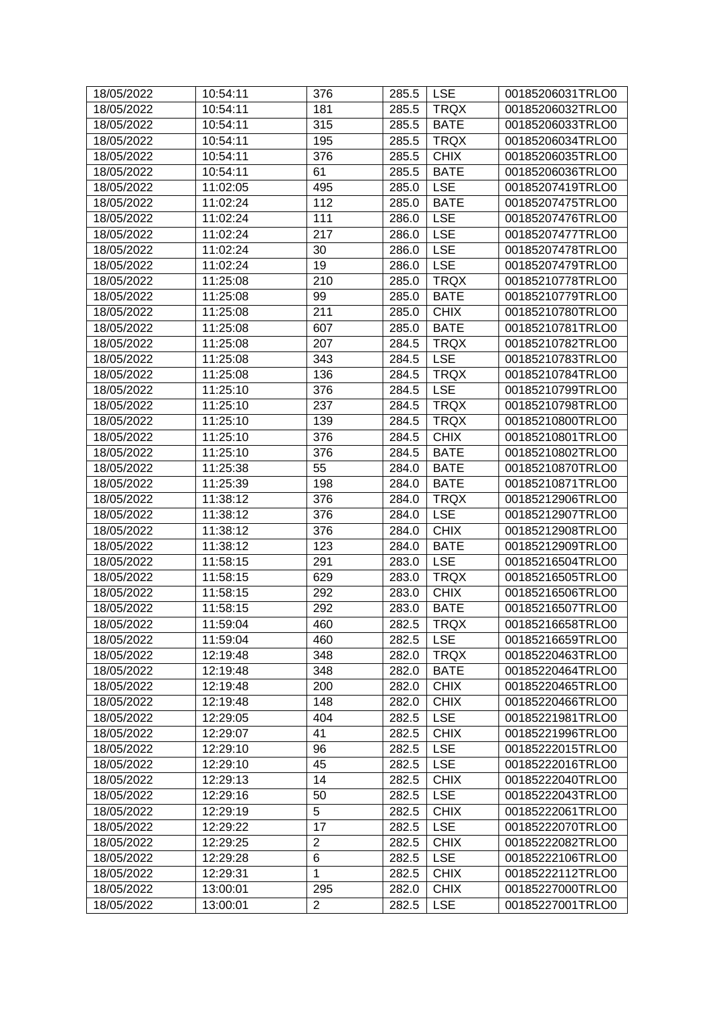| 18/05/2022 | 10:54:11 | 376            | 285.5 | <b>LSE</b>  | 00185206031TRLO0 |
|------------|----------|----------------|-------|-------------|------------------|
| 18/05/2022 | 10:54:11 | 181            | 285.5 | <b>TRQX</b> | 00185206032TRLO0 |
| 18/05/2022 | 10:54:11 | 315            | 285.5 | <b>BATE</b> | 00185206033TRLO0 |
| 18/05/2022 | 10:54:11 | 195            | 285.5 | <b>TRQX</b> | 00185206034TRLO0 |
| 18/05/2022 | 10:54:11 | 376            | 285.5 | <b>CHIX</b> | 00185206035TRLO0 |
| 18/05/2022 | 10:54:11 | 61             | 285.5 | <b>BATE</b> | 00185206036TRLO0 |
| 18/05/2022 | 11:02:05 | 495            | 285.0 | <b>LSE</b>  | 00185207419TRLO0 |
| 18/05/2022 | 11:02:24 | 112            | 285.0 | <b>BATE</b> | 00185207475TRLO0 |
| 18/05/2022 | 11:02:24 | 111            | 286.0 | <b>LSE</b>  | 00185207476TRLO0 |
| 18/05/2022 | 11:02:24 | 217            | 286.0 | <b>LSE</b>  | 00185207477TRLO0 |
| 18/05/2022 | 11:02:24 | 30             | 286.0 | <b>LSE</b>  | 00185207478TRLO0 |
| 18/05/2022 | 11:02:24 | 19             | 286.0 | <b>LSE</b>  | 00185207479TRLO0 |
| 18/05/2022 | 11:25:08 | 210            | 285.0 | <b>TRQX</b> | 00185210778TRLO0 |
| 18/05/2022 | 11:25:08 | 99             | 285.0 | <b>BATE</b> | 00185210779TRLO0 |
| 18/05/2022 | 11:25:08 | 211            | 285.0 | <b>CHIX</b> | 00185210780TRLO0 |
| 18/05/2022 | 11:25:08 | 607            | 285.0 | <b>BATE</b> | 00185210781TRLO0 |
| 18/05/2022 | 11:25:08 | 207            | 284.5 | <b>TRQX</b> | 00185210782TRLO0 |
| 18/05/2022 | 11:25:08 | 343            | 284.5 | <b>LSE</b>  | 00185210783TRLO0 |
| 18/05/2022 | 11:25:08 | 136            | 284.5 | <b>TRQX</b> | 00185210784TRLO0 |
| 18/05/2022 | 11:25:10 | 376            | 284.5 | <b>LSE</b>  | 00185210799TRLO0 |
| 18/05/2022 | 11:25:10 | 237            | 284.5 | <b>TRQX</b> | 00185210798TRLO0 |
| 18/05/2022 | 11:25:10 | 139            | 284.5 | <b>TRQX</b> | 00185210800TRLO0 |
| 18/05/2022 | 11:25:10 | 376            | 284.5 | <b>CHIX</b> | 00185210801TRLO0 |
| 18/05/2022 | 11:25:10 | 376            | 284.5 | <b>BATE</b> | 00185210802TRLO0 |
| 18/05/2022 | 11:25:38 | 55             | 284.0 | <b>BATE</b> | 00185210870TRLO0 |
| 18/05/2022 | 11:25:39 | 198            | 284.0 | <b>BATE</b> | 00185210871TRLO0 |
| 18/05/2022 | 11:38:12 | 376            | 284.0 | <b>TRQX</b> | 00185212906TRLO0 |
| 18/05/2022 | 11:38:12 | 376            | 284.0 | <b>LSE</b>  | 00185212907TRLO0 |
| 18/05/2022 | 11:38:12 | 376            | 284.0 | <b>CHIX</b> | 00185212908TRLO0 |
| 18/05/2022 | 11:38:12 | 123            | 284.0 | <b>BATE</b> | 00185212909TRLO0 |
|            |          |                |       | <b>LSE</b>  | 00185216504TRLO0 |
| 18/05/2022 | 11:58:15 | 291            | 283.0 |             | 00185216505TRLO0 |
| 18/05/2022 | 11:58:15 | 629            | 283.0 | <b>TRQX</b> |                  |
| 18/05/2022 | 11:58:15 | 292            | 283.0 | <b>CHIX</b> | 00185216506TRLO0 |
| 18/05/2022 | 11:58:15 | 292            | 283.0 | <b>BATE</b> | 00185216507TRLO0 |
| 18/05/2022 | 11:59:04 | 460            | 282.5 | <b>TRQX</b> | 00185216658TRLO0 |
| 18/05/2022 | 11:59:04 | 460            | 282.5 | <b>LSE</b>  | 00185216659TRLO0 |
| 18/05/2022 | 12:19:48 | 348            | 282.0 | <b>TRQX</b> | 00185220463TRLO0 |
| 18/05/2022 | 12:19:48 | 348            | 282.0 | <b>BATE</b> | 00185220464TRLO0 |
| 18/05/2022 | 12:19:48 | 200            | 282.0 | <b>CHIX</b> | 00185220465TRLO0 |
| 18/05/2022 | 12:19:48 | 148            | 282.0 | <b>CHIX</b> | 00185220466TRLO0 |
| 18/05/2022 | 12:29:05 | 404            | 282.5 | <b>LSE</b>  | 00185221981TRLO0 |
| 18/05/2022 | 12:29:07 | 41             | 282.5 | <b>CHIX</b> | 00185221996TRLO0 |
| 18/05/2022 | 12:29:10 | 96             | 282.5 | <b>LSE</b>  | 00185222015TRLO0 |
| 18/05/2022 | 12:29:10 | 45             | 282.5 | <b>LSE</b>  | 00185222016TRLO0 |
| 18/05/2022 | 12:29:13 | 14             | 282.5 | <b>CHIX</b> | 00185222040TRLO0 |
| 18/05/2022 | 12:29:16 | 50             | 282.5 | <b>LSE</b>  | 00185222043TRLO0 |
| 18/05/2022 | 12:29:19 | 5              | 282.5 | <b>CHIX</b> | 00185222061TRLO0 |
| 18/05/2022 | 12:29:22 | 17             | 282.5 | <b>LSE</b>  | 00185222070TRLO0 |
| 18/05/2022 | 12:29:25 | $\overline{2}$ | 282.5 | <b>CHIX</b> | 00185222082TRLO0 |
| 18/05/2022 | 12:29:28 | 6              | 282.5 | <b>LSE</b>  | 00185222106TRLO0 |
| 18/05/2022 | 12:29:31 | 1              | 282.5 | <b>CHIX</b> | 00185222112TRLO0 |
| 18/05/2022 | 13:00:01 | 295            | 282.0 | <b>CHIX</b> | 00185227000TRLO0 |
| 18/05/2022 | 13:00:01 | 2              | 282.5 | <b>LSE</b>  | 00185227001TRLO0 |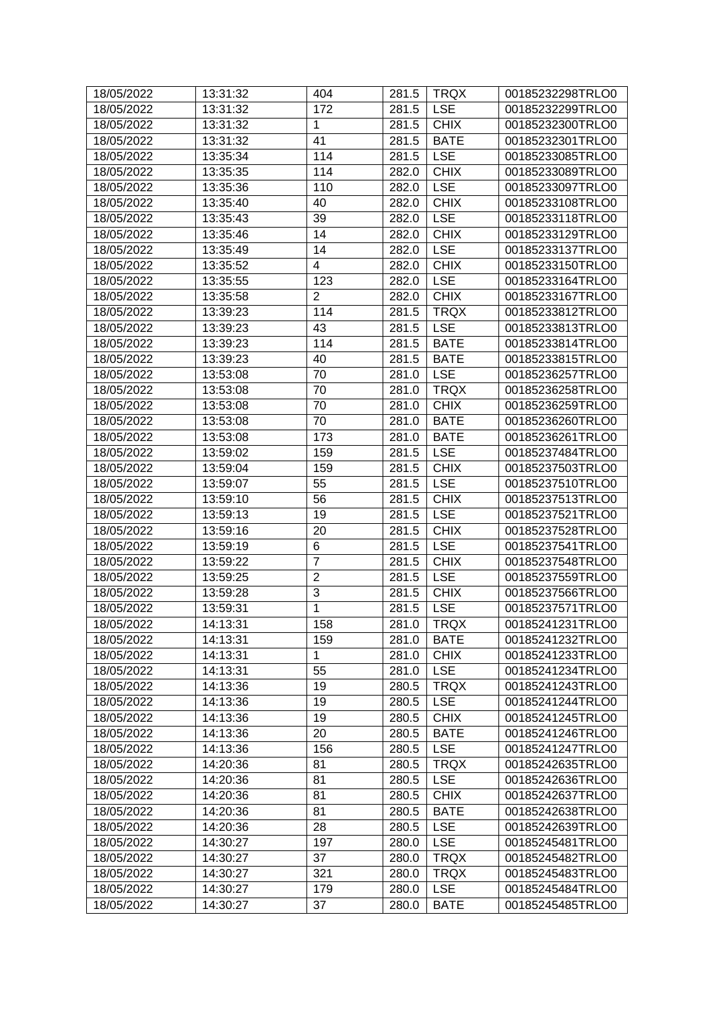| 18/05/2022 | 13:31:32 | 404            | 281.5 | <b>TRQX</b> | 00185232298TRLO0 |
|------------|----------|----------------|-------|-------------|------------------|
| 18/05/2022 | 13:31:32 | 172            | 281.5 | <b>LSE</b>  | 00185232299TRLO0 |
| 18/05/2022 | 13:31:32 | $\mathbf{1}$   | 281.5 | <b>CHIX</b> | 00185232300TRLO0 |
| 18/05/2022 | 13:31:32 | 41             | 281.5 | <b>BATE</b> | 00185232301TRLO0 |
| 18/05/2022 | 13:35:34 | 114            | 281.5 | <b>LSE</b>  | 00185233085TRLO0 |
| 18/05/2022 | 13:35:35 | 114            | 282.0 | <b>CHIX</b> | 00185233089TRLO0 |
| 18/05/2022 | 13:35:36 | 110            | 282.0 | <b>LSE</b>  | 00185233097TRLO0 |
| 18/05/2022 | 13:35:40 | 40             | 282.0 | <b>CHIX</b> | 00185233108TRLO0 |
| 18/05/2022 | 13:35:43 | 39             | 282.0 | <b>LSE</b>  | 00185233118TRLO0 |
| 18/05/2022 | 13:35:46 | 14             | 282.0 | <b>CHIX</b> | 00185233129TRLO0 |
| 18/05/2022 | 13:35:49 | 14             | 282.0 | <b>LSE</b>  | 00185233137TRLO0 |
| 18/05/2022 | 13:35:52 | 4              | 282.0 | <b>CHIX</b> | 00185233150TRLO0 |
| 18/05/2022 | 13:35:55 | 123            | 282.0 | <b>LSE</b>  | 00185233164TRLO0 |
| 18/05/2022 | 13:35:58 | $\overline{2}$ | 282.0 | <b>CHIX</b> | 00185233167TRLO0 |
| 18/05/2022 | 13:39:23 | 114            | 281.5 | <b>TRQX</b> | 00185233812TRLO0 |
| 18/05/2022 | 13:39:23 | 43             | 281.5 | <b>LSE</b>  | 00185233813TRLO0 |
| 18/05/2022 | 13:39:23 | 114            | 281.5 | <b>BATE</b> | 00185233814TRLO0 |
| 18/05/2022 | 13:39:23 | 40             | 281.5 | <b>BATE</b> | 00185233815TRLO0 |
| 18/05/2022 | 13:53:08 | 70             | 281.0 | <b>LSE</b>  | 00185236257TRLO0 |
| 18/05/2022 | 13:53:08 | 70             | 281.0 | <b>TRQX</b> | 00185236258TRLO0 |
| 18/05/2022 | 13:53:08 | 70             | 281.0 | <b>CHIX</b> | 00185236259TRLO0 |
| 18/05/2022 | 13:53:08 | 70             | 281.0 | <b>BATE</b> | 00185236260TRLO0 |
| 18/05/2022 | 13:53:08 | 173            | 281.0 | <b>BATE</b> | 00185236261TRLO0 |
| 18/05/2022 | 13:59:02 | 159            | 281.5 | <b>LSE</b>  | 00185237484TRLO0 |
| 18/05/2022 | 13:59:04 | 159            | 281.5 | <b>CHIX</b> | 00185237503TRLO0 |
| 18/05/2022 | 13:59:07 | 55             | 281.5 | <b>LSE</b>  | 00185237510TRLO0 |
| 18/05/2022 | 13:59:10 | 56             | 281.5 | <b>CHIX</b> | 00185237513TRLO0 |
| 18/05/2022 | 13:59:13 | 19             | 281.5 | <b>LSE</b>  | 00185237521TRLO0 |
| 18/05/2022 | 13:59:16 | 20             | 281.5 | <b>CHIX</b> | 00185237528TRLO0 |
| 18/05/2022 | 13:59:19 | 6              | 281.5 | <b>LSE</b>  | 00185237541TRLO0 |
| 18/05/2022 | 13:59:22 | $\overline{7}$ | 281.5 | <b>CHIX</b> | 00185237548TRLO0 |
| 18/05/2022 | 13:59:25 | $\overline{2}$ | 281.5 | <b>LSE</b>  | 00185237559TRLO0 |
| 18/05/2022 | 13:59:28 | 3              | 281.5 | <b>CHIX</b> | 00185237566TRLO0 |
| 18/05/2022 | 13:59:31 | 1              | 281.5 | <b>LSE</b>  | 00185237571TRLO0 |
| 18/05/2022 | 14:13:31 | 158            | 281.0 | TRQX        | 00185241231TRLO0 |
| 18/05/2022 | 14:13:31 | 159            | 281.0 | <b>BATE</b> | 00185241232TRLO0 |
| 18/05/2022 | 14:13:31 | 1              | 281.0 | <b>CHIX</b> | 00185241233TRLO0 |
| 18/05/2022 | 14:13:31 | 55             | 281.0 | <b>LSE</b>  | 00185241234TRLO0 |
| 18/05/2022 | 14:13:36 | 19             | 280.5 | <b>TRQX</b> | 00185241243TRLO0 |
| 18/05/2022 | 14:13:36 | 19             | 280.5 | <b>LSE</b>  | 00185241244TRLO0 |
| 18/05/2022 | 14:13:36 | 19             | 280.5 | <b>CHIX</b> | 00185241245TRLO0 |
| 18/05/2022 | 14:13:36 | 20             | 280.5 | <b>BATE</b> | 00185241246TRLO0 |
| 18/05/2022 | 14:13:36 | 156            | 280.5 | <b>LSE</b>  | 00185241247TRLO0 |
| 18/05/2022 | 14:20:36 | 81             | 280.5 | <b>TRQX</b> | 00185242635TRLO0 |
| 18/05/2022 | 14:20:36 | 81             | 280.5 | <b>LSE</b>  | 00185242636TRLO0 |
| 18/05/2022 | 14:20:36 | 81             | 280.5 | <b>CHIX</b> | 00185242637TRLO0 |
| 18/05/2022 | 14:20:36 | 81             | 280.5 | <b>BATE</b> | 00185242638TRLO0 |
| 18/05/2022 | 14:20:36 | 28             | 280.5 | <b>LSE</b>  | 00185242639TRLO0 |
| 18/05/2022 | 14:30:27 | 197            | 280.0 | <b>LSE</b>  | 00185245481TRLO0 |
| 18/05/2022 | 14:30:27 | 37             | 280.0 | <b>TRQX</b> | 00185245482TRLO0 |
| 18/05/2022 | 14:30:27 | 321            | 280.0 | <b>TRQX</b> | 00185245483TRLO0 |
| 18/05/2022 | 14:30:27 | 179            | 280.0 | <b>LSE</b>  | 00185245484TRLO0 |
| 18/05/2022 | 14:30:27 | 37             | 280.0 | <b>BATE</b> | 00185245485TRLO0 |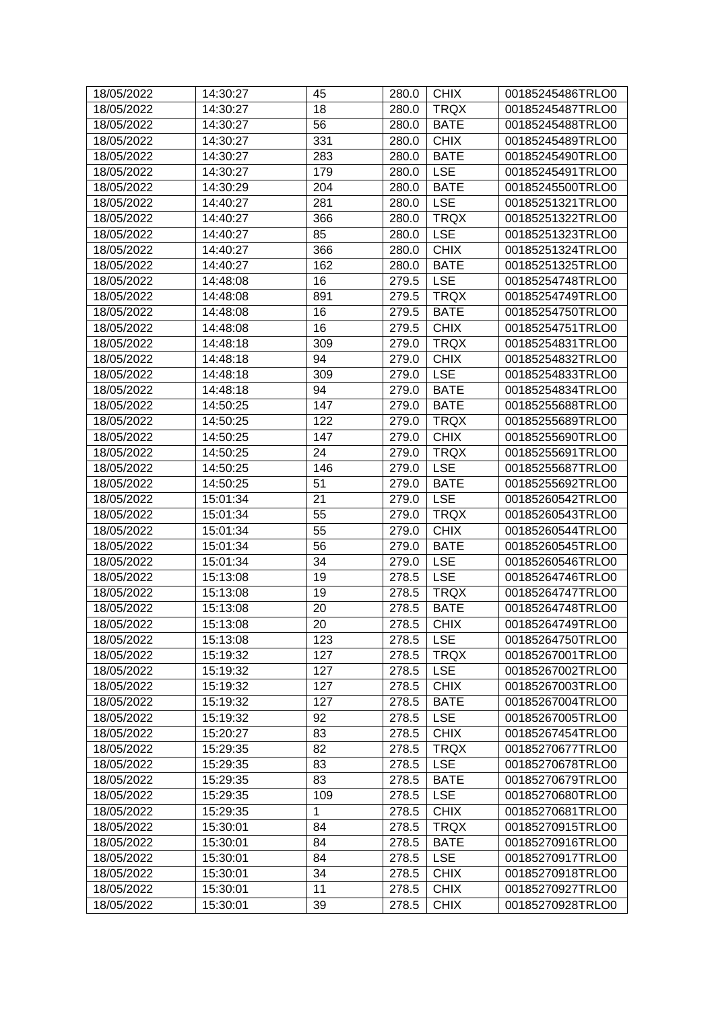| 18/05/2022 | 14:30:27 | 45  | 280.0 | <b>CHIX</b> | 00185245486TRLO0 |
|------------|----------|-----|-------|-------------|------------------|
| 18/05/2022 | 14:30:27 | 18  | 280.0 | <b>TRQX</b> | 00185245487TRLO0 |
| 18/05/2022 | 14:30:27 | 56  | 280.0 | <b>BATE</b> | 00185245488TRLO0 |
| 18/05/2022 | 14:30:27 | 331 | 280.0 | <b>CHIX</b> | 00185245489TRLO0 |
| 18/05/2022 | 14:30:27 | 283 | 280.0 | <b>BATE</b> | 00185245490TRLO0 |
| 18/05/2022 | 14:30:27 | 179 | 280.0 | <b>LSE</b>  | 00185245491TRLO0 |
| 18/05/2022 | 14:30:29 | 204 | 280.0 | <b>BATE</b> | 00185245500TRLO0 |
| 18/05/2022 | 14:40:27 | 281 | 280.0 | <b>LSE</b>  | 00185251321TRLO0 |
| 18/05/2022 | 14:40:27 | 366 | 280.0 | <b>TRQX</b> | 00185251322TRLO0 |
| 18/05/2022 | 14:40:27 | 85  | 280.0 | <b>LSE</b>  | 00185251323TRLO0 |
| 18/05/2022 | 14:40:27 | 366 | 280.0 | <b>CHIX</b> | 00185251324TRLO0 |
| 18/05/2022 | 14:40:27 | 162 | 280.0 | <b>BATE</b> | 00185251325TRLO0 |
| 18/05/2022 | 14:48:08 | 16  | 279.5 | <b>LSE</b>  | 00185254748TRLO0 |
| 18/05/2022 | 14:48:08 | 891 | 279.5 | <b>TRQX</b> | 00185254749TRLO0 |
| 18/05/2022 | 14:48:08 | 16  | 279.5 | <b>BATE</b> | 00185254750TRLO0 |
| 18/05/2022 | 14:48:08 | 16  | 279.5 | <b>CHIX</b> | 00185254751TRLO0 |
| 18/05/2022 | 14:48:18 | 309 | 279.0 | <b>TRQX</b> | 00185254831TRLO0 |
| 18/05/2022 | 14:48:18 | 94  | 279.0 | <b>CHIX</b> | 00185254832TRLO0 |
| 18/05/2022 | 14:48:18 | 309 | 279.0 | <b>LSE</b>  | 00185254833TRLO0 |
| 18/05/2022 | 14:48:18 | 94  | 279.0 | <b>BATE</b> | 00185254834TRLO0 |
| 18/05/2022 | 14:50:25 | 147 | 279.0 | <b>BATE</b> | 00185255688TRLO0 |
| 18/05/2022 | 14:50:25 | 122 | 279.0 | <b>TRQX</b> | 00185255689TRLO0 |
| 18/05/2022 | 14:50:25 | 147 | 279.0 | <b>CHIX</b> | 00185255690TRLO0 |
| 18/05/2022 | 14:50:25 | 24  | 279.0 | <b>TRQX</b> | 00185255691TRLO0 |
| 18/05/2022 | 14:50:25 | 146 | 279.0 | <b>LSE</b>  | 00185255687TRLO0 |
| 18/05/2022 | 14:50:25 | 51  | 279.0 | <b>BATE</b> | 00185255692TRLO0 |
| 18/05/2022 | 15:01:34 | 21  | 279.0 | <b>LSE</b>  | 00185260542TRLO0 |
| 18/05/2022 | 15:01:34 | 55  | 279.0 | <b>TRQX</b> | 00185260543TRLO0 |
| 18/05/2022 | 15:01:34 | 55  | 279.0 | <b>CHIX</b> | 00185260544TRLO0 |
| 18/05/2022 | 15:01:34 | 56  | 279.0 | <b>BATE</b> | 00185260545TRLO0 |
| 18/05/2022 | 15:01:34 | 34  | 279.0 | <b>LSE</b>  | 00185260546TRLO0 |
| 18/05/2022 | 15:13:08 | 19  | 278.5 | <b>LSE</b>  | 00185264746TRLO0 |
| 18/05/2022 | 15:13:08 | 19  | 278.5 | <b>TRQX</b> | 00185264747TRLO0 |
| 18/05/2022 | 15:13:08 | 20  | 278.5 | <b>BATE</b> | 00185264748TRLO0 |
| 18/05/2022 | 15:13:08 | 20  | 278.5 | <b>CHIX</b> | 00185264749TRLO0 |
| 18/05/2022 | 15:13:08 | 123 | 278.5 | <b>LSE</b>  | 00185264750TRLO0 |
| 18/05/2022 | 15:19:32 | 127 | 278.5 | <b>TRQX</b> | 00185267001TRLO0 |
| 18/05/2022 | 15:19:32 | 127 | 278.5 | <b>LSE</b>  | 00185267002TRLO0 |
| 18/05/2022 | 15:19:32 | 127 | 278.5 | <b>CHIX</b> | 00185267003TRLO0 |
| 18/05/2022 | 15:19:32 | 127 | 278.5 | <b>BATE</b> | 00185267004TRLO0 |
| 18/05/2022 | 15:19:32 | 92  | 278.5 | <b>LSE</b>  | 00185267005TRLO0 |
| 18/05/2022 | 15:20:27 | 83  | 278.5 | <b>CHIX</b> | 00185267454TRLO0 |
| 18/05/2022 | 15:29:35 | 82  | 278.5 | <b>TRQX</b> | 00185270677TRLO0 |
| 18/05/2022 | 15:29:35 | 83  | 278.5 | <b>LSE</b>  | 00185270678TRLO0 |
| 18/05/2022 | 15:29:35 | 83  | 278.5 | <b>BATE</b> | 00185270679TRLO0 |
| 18/05/2022 | 15:29:35 | 109 | 278.5 | <b>LSE</b>  | 00185270680TRLO0 |
| 18/05/2022 | 15:29:35 | 1   | 278.5 | <b>CHIX</b> | 00185270681TRLO0 |
| 18/05/2022 | 15:30:01 | 84  | 278.5 | <b>TRQX</b> | 00185270915TRLO0 |
| 18/05/2022 | 15:30:01 | 84  | 278.5 | <b>BATE</b> | 00185270916TRLO0 |
| 18/05/2022 | 15:30:01 | 84  | 278.5 | <b>LSE</b>  | 00185270917TRLO0 |
| 18/05/2022 | 15:30:01 | 34  | 278.5 | <b>CHIX</b> | 00185270918TRLO0 |
| 18/05/2022 | 15:30:01 | 11  | 278.5 | <b>CHIX</b> | 00185270927TRLO0 |
| 18/05/2022 | 15:30:01 | 39  | 278.5 | <b>CHIX</b> | 00185270928TRLO0 |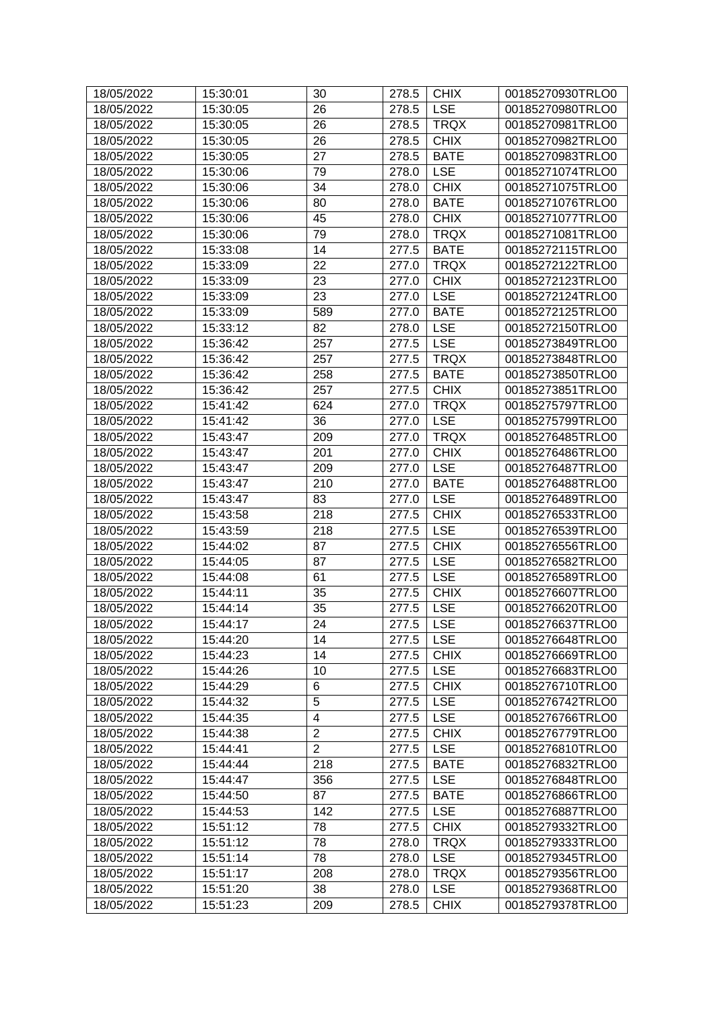| 18/05/2022               | 15:30:01             | 30             | 278.5 | <b>CHIX</b>               | 00185270930TRLO0                     |
|--------------------------|----------------------|----------------|-------|---------------------------|--------------------------------------|
| 18/05/2022               | 15:30:05             | 26             | 278.5 | <b>LSE</b>                | 00185270980TRLO0                     |
| 18/05/2022               | 15:30:05             | 26             | 278.5 | <b>TRQX</b>               | 00185270981TRLO0                     |
| 18/05/2022               | 15:30:05             | 26             | 278.5 | <b>CHIX</b>               | 00185270982TRLO0                     |
| 18/05/2022               | 15:30:05             | 27             | 278.5 | <b>BATE</b>               | 00185270983TRLO0                     |
| 18/05/2022               | 15:30:06             | 79             | 278.0 | <b>LSE</b>                | 00185271074TRLO0                     |
| 18/05/2022               | 15:30:06             | 34             | 278.0 | <b>CHIX</b>               | 00185271075TRLO0                     |
| 18/05/2022               | 15:30:06             | 80             | 278.0 | <b>BATE</b>               | 00185271076TRLO0                     |
| 18/05/2022               | 15:30:06             | 45             | 278.0 | <b>CHIX</b>               | 00185271077TRLO0                     |
| 18/05/2022               | 15:30:06             | 79             | 278.0 | <b>TRQX</b>               | 00185271081TRLO0                     |
| 18/05/2022               | 15:33:08             | 14             | 277.5 | <b>BATE</b>               | 00185272115TRLO0                     |
| 18/05/2022               | 15:33:09             | 22             | 277.0 | <b>TRQX</b>               | 00185272122TRLO0                     |
| 18/05/2022               | 15:33:09             | 23             | 277.0 | <b>CHIX</b>               | 00185272123TRLO0                     |
| 18/05/2022               | 15:33:09             | 23             | 277.0 | <b>LSE</b>                | 00185272124TRLO0                     |
| 18/05/2022               | 15:33:09             | 589            | 277.0 | <b>BATE</b>               | 00185272125TRLO0                     |
| 18/05/2022               | 15:33:12             | 82             | 278.0 | <b>LSE</b>                | 00185272150TRLO0                     |
| 18/05/2022               | 15:36:42             | 257            | 277.5 | <b>LSE</b>                | 00185273849TRLO0                     |
| 18/05/2022               | 15:36:42             | 257            | 277.5 | <b>TRQX</b>               | 00185273848TRLO0                     |
| 18/05/2022               | 15:36:42             | 258            | 277.5 | <b>BATE</b>               | 00185273850TRLO0                     |
| 18/05/2022               | 15:36:42             | 257            | 277.5 | <b>CHIX</b>               | 00185273851TRLO0                     |
| 18/05/2022               | 15:41:42             | 624            | 277.0 | <b>TRQX</b>               | 00185275797TRLO0                     |
| 18/05/2022               | 15:41:42             | 36             | 277.0 | <b>LSE</b>                | 00185275799TRLO0                     |
| 18/05/2022               | 15:43:47             | 209            | 277.0 | <b>TRQX</b>               | 00185276485TRLO0                     |
| 18/05/2022               | 15:43:47             | 201            | 277.0 | <b>CHIX</b>               | 00185276486TRLO0                     |
| 18/05/2022               | 15:43:47             | 209            | 277.0 | <b>LSE</b>                | 00185276487TRLO0                     |
| 18/05/2022               | 15:43:47             | 210            | 277.0 | <b>BATE</b>               | 00185276488TRLO0                     |
| 18/05/2022               | 15:43:47             | 83             | 277.0 | <b>LSE</b>                | 00185276489TRLO0                     |
| 18/05/2022               | 15:43:58             | 218            | 277.5 | <b>CHIX</b>               | 00185276533TRLO0                     |
| 18/05/2022               | 15:43:59             | 218            | 277.5 | <b>LSE</b>                | 00185276539TRLO0                     |
| 18/05/2022               | 15:44:02             | 87             | 277.5 | <b>CHIX</b>               | 00185276556TRLO0                     |
| 18/05/2022               | 15:44:05             | 87             | 277.5 | <b>LSE</b>                | 00185276582TRLO0                     |
| 18/05/2022               | 15:44:08             | 61             | 277.5 | <b>LSE</b>                | 00185276589TRLO0                     |
| 18/05/2022               | 15:44:11             | 35             | 277.5 | <b>CHIX</b>               | 00185276607TRLO0                     |
| 18/05/2022               | 15:44:14             | 35             | 277.5 | <b>LSE</b>                | 00185276620TRLO0                     |
| 18/05/2022               | 15:44:17             | 24             | 277.5 | <b>LSE</b>                | 00185276637TRLO0                     |
|                          |                      |                |       |                           |                                      |
| 18/05/2022               | 15:44:20             | 14             | 277.5 | <b>LSE</b><br><b>CHIX</b> | 00185276648TRLO0                     |
| 18/05/2022<br>18/05/2022 | 15:44:23             | 14             | 277.5 |                           | 00185276669TRLO0                     |
|                          | 15:44:26<br>15:44:29 | 10             | 277.5 | <b>LSE</b><br><b>CHIX</b> | 00185276683TRLO0                     |
| 18/05/2022               |                      | 6<br>5         | 277.5 | <b>LSE</b>                | 00185276710TRLO0<br>00185276742TRLO0 |
| 18/05/2022               | 15:44:32             |                | 277.5 |                           | 00185276766TRLO0                     |
| 18/05/2022               | 15:44:35             | 4              | 277.5 | <b>LSE</b>                |                                      |
| 18/05/2022               | 15:44:38             | $\overline{2}$ | 277.5 | <b>CHIX</b>               | 00185276779TRLO0                     |
| 18/05/2022               | 15:44:41             | $\overline{2}$ | 277.5 | <b>LSE</b>                | 00185276810TRLO0                     |
| 18/05/2022               | 15:44:44             | 218            | 277.5 | <b>BATE</b>               | 00185276832TRLO0                     |
| 18/05/2022               | 15:44:47             | 356            | 277.5 | <b>LSE</b>                | 00185276848TRLO0                     |
| 18/05/2022               | 15:44:50             | 87             | 277.5 | <b>BATE</b>               | 00185276866TRLO0                     |
| 18/05/2022               | 15:44:53             | 142            | 277.5 | <b>LSE</b>                | 00185276887TRLO0                     |
| 18/05/2022               | 15:51:12             | 78             | 277.5 | <b>CHIX</b>               | 00185279332TRLO0                     |
| 18/05/2022               | 15:51:12             | 78             | 278.0 | <b>TRQX</b>               | 00185279333TRLO0                     |
| 18/05/2022               | 15:51:14             | 78             | 278.0 | <b>LSE</b>                | 00185279345TRLO0                     |
| 18/05/2022               | 15:51:17             | 208            | 278.0 | <b>TRQX</b>               | 00185279356TRLO0                     |
| 18/05/2022               | 15:51:20             | 38             | 278.0 | <b>LSE</b>                | 00185279368TRLO0                     |
| 18/05/2022               | 15:51:23             | 209            | 278.5 | <b>CHIX</b>               | 00185279378TRLO0                     |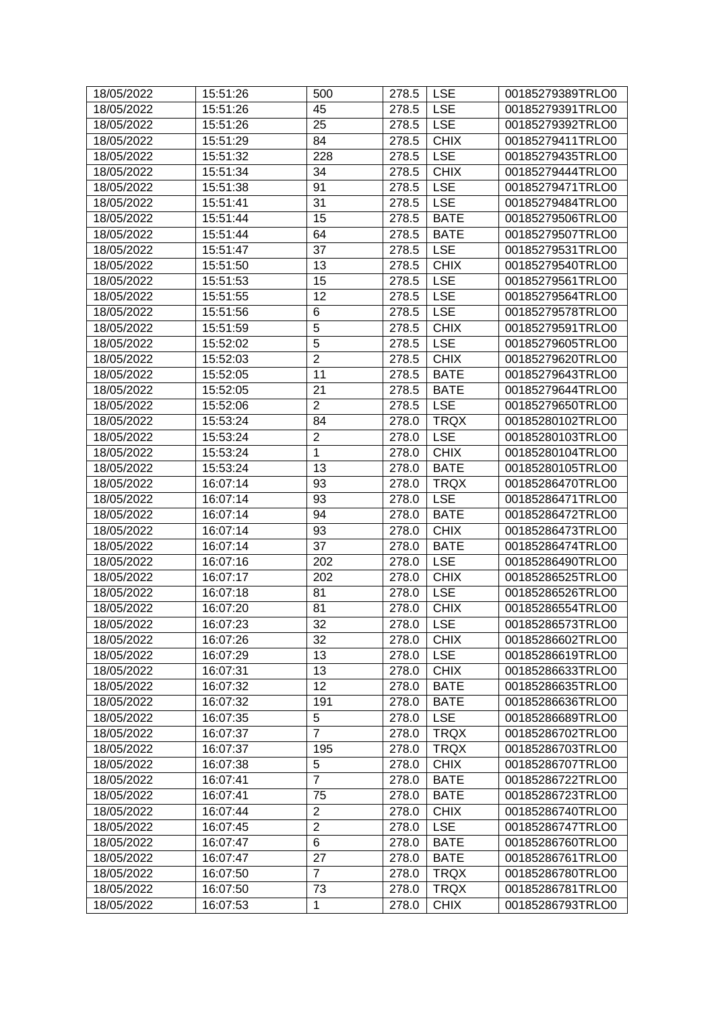| 18/05/2022 | 15:51:26 | 500            | 278.5 | <b>LSE</b>  | 00185279389TRLO0 |
|------------|----------|----------------|-------|-------------|------------------|
| 18/05/2022 | 15:51:26 | 45             | 278.5 | <b>LSE</b>  | 00185279391TRLO0 |
| 18/05/2022 | 15:51:26 | 25             | 278.5 | <b>LSE</b>  | 00185279392TRLO0 |
| 18/05/2022 | 15:51:29 | 84             | 278.5 | <b>CHIX</b> | 00185279411TRLO0 |
| 18/05/2022 | 15:51:32 | 228            | 278.5 | <b>LSE</b>  | 00185279435TRLO0 |
| 18/05/2022 | 15:51:34 | 34             | 278.5 | <b>CHIX</b> | 00185279444TRLO0 |
| 18/05/2022 | 15:51:38 | 91             | 278.5 | <b>LSE</b>  | 00185279471TRLO0 |
| 18/05/2022 | 15:51:41 | 31             | 278.5 | <b>LSE</b>  | 00185279484TRLO0 |
| 18/05/2022 | 15:51:44 | 15             | 278.5 | <b>BATE</b> | 00185279506TRLO0 |
| 18/05/2022 | 15:51:44 | 64             | 278.5 | <b>BATE</b> | 00185279507TRLO0 |
| 18/05/2022 | 15:51:47 | 37             | 278.5 | <b>LSE</b>  | 00185279531TRLO0 |
| 18/05/2022 | 15:51:50 | 13             | 278.5 | <b>CHIX</b> | 00185279540TRLO0 |
| 18/05/2022 | 15:51:53 | 15             | 278.5 | <b>LSE</b>  | 00185279561TRLO0 |
| 18/05/2022 | 15:51:55 | 12             | 278.5 | <b>LSE</b>  | 00185279564TRLO0 |
| 18/05/2022 | 15:51:56 | 6              | 278.5 | <b>LSE</b>  | 00185279578TRLO0 |
| 18/05/2022 | 15:51:59 | $\overline{5}$ | 278.5 | <b>CHIX</b> | 00185279591TRLO0 |
| 18/05/2022 | 15:52:02 | 5              | 278.5 | <b>LSE</b>  | 00185279605TRLO0 |
| 18/05/2022 | 15:52:03 | $\overline{2}$ | 278.5 | <b>CHIX</b> | 00185279620TRLO0 |
| 18/05/2022 | 15:52:05 | 11             | 278.5 | <b>BATE</b> | 00185279643TRLO0 |
| 18/05/2022 | 15:52:05 | 21             | 278.5 | <b>BATE</b> | 00185279644TRLO0 |
| 18/05/2022 | 15:52:06 | $\overline{2}$ | 278.5 | <b>LSE</b>  | 00185279650TRLO0 |
| 18/05/2022 | 15:53:24 | 84             | 278.0 | <b>TRQX</b> | 00185280102TRLO0 |
| 18/05/2022 | 15:53:24 | $\overline{2}$ | 278.0 | <b>LSE</b>  | 00185280103TRLO0 |
| 18/05/2022 | 15:53:24 | $\mathbf{1}$   | 278.0 | <b>CHIX</b> | 00185280104TRLO0 |
| 18/05/2022 | 15:53:24 | 13             | 278.0 | <b>BATE</b> | 00185280105TRLO0 |
| 18/05/2022 | 16:07:14 | 93             | 278.0 | <b>TRQX</b> | 00185286470TRLO0 |
| 18/05/2022 | 16:07:14 | 93             | 278.0 | <b>LSE</b>  | 00185286471TRLO0 |
| 18/05/2022 | 16:07:14 | 94             | 278.0 | <b>BATE</b> | 00185286472TRLO0 |
| 18/05/2022 | 16:07:14 | 93             | 278.0 | <b>CHIX</b> | 00185286473TRLO0 |
| 18/05/2022 | 16:07:14 | 37             | 278.0 | <b>BATE</b> | 00185286474TRLO0 |
| 18/05/2022 | 16:07:16 | 202            | 278.0 | <b>LSE</b>  | 00185286490TRLO0 |
| 18/05/2022 | 16:07:17 | 202            | 278.0 | <b>CHIX</b> | 00185286525TRLO0 |
| 18/05/2022 | 16:07:18 | 81             | 278.0 | <b>LSE</b>  | 00185286526TRLO0 |
| 18/05/2022 | 16:07:20 | 81             | 278.0 | <b>CHIX</b> | 00185286554TRLO0 |
| 18/05/2022 | 16:07:23 | 32             | 278.0 | <b>LSE</b>  | 00185286573TRLO0 |
| 18/05/2022 | 16:07:26 | 32             | 278.0 | <b>CHIX</b> | 00185286602TRLO0 |
| 18/05/2022 | 16:07:29 | 13             | 278.0 | <b>LSE</b>  | 00185286619TRLO0 |
| 18/05/2022 | 16:07:31 | 13             | 278.0 | <b>CHIX</b> | 00185286633TRLO0 |
| 18/05/2022 | 16:07:32 | 12             | 278.0 | <b>BATE</b> | 00185286635TRLO0 |
| 18/05/2022 | 16:07:32 | 191            | 278.0 | <b>BATE</b> | 00185286636TRLO0 |
| 18/05/2022 | 16:07:35 | 5              | 278.0 | <b>LSE</b>  | 00185286689TRLO0 |
| 18/05/2022 | 16:07:37 | $\overline{7}$ | 278.0 | <b>TRQX</b> | 00185286702TRLO0 |
| 18/05/2022 | 16:07:37 | 195            | 278.0 | <b>TRQX</b> | 00185286703TRLO0 |
| 18/05/2022 | 16:07:38 | 5              | 278.0 | <b>CHIX</b> | 00185286707TRLO0 |
| 18/05/2022 | 16:07:41 | $\overline{7}$ | 278.0 | <b>BATE</b> | 00185286722TRLO0 |
| 18/05/2022 | 16:07:41 | 75             | 278.0 | <b>BATE</b> | 00185286723TRLO0 |
| 18/05/2022 | 16:07:44 | $\overline{2}$ | 278.0 | <b>CHIX</b> | 00185286740TRLO0 |
| 18/05/2022 | 16:07:45 | $\overline{2}$ | 278.0 | <b>LSE</b>  | 00185286747TRLO0 |
| 18/05/2022 | 16:07:47 | 6              | 278.0 | <b>BATE</b> | 00185286760TRLO0 |
| 18/05/2022 | 16:07:47 | 27             | 278.0 | <b>BATE</b> | 00185286761TRLO0 |
| 18/05/2022 | 16:07:50 | $\overline{7}$ | 278.0 | <b>TRQX</b> | 00185286780TRLO0 |
| 18/05/2022 | 16:07:50 | 73             | 278.0 | <b>TRQX</b> | 00185286781TRLO0 |
| 18/05/2022 | 16:07:53 | $\mathbf{1}$   | 278.0 | <b>CHIX</b> | 00185286793TRLO0 |
|            |          |                |       |             |                  |